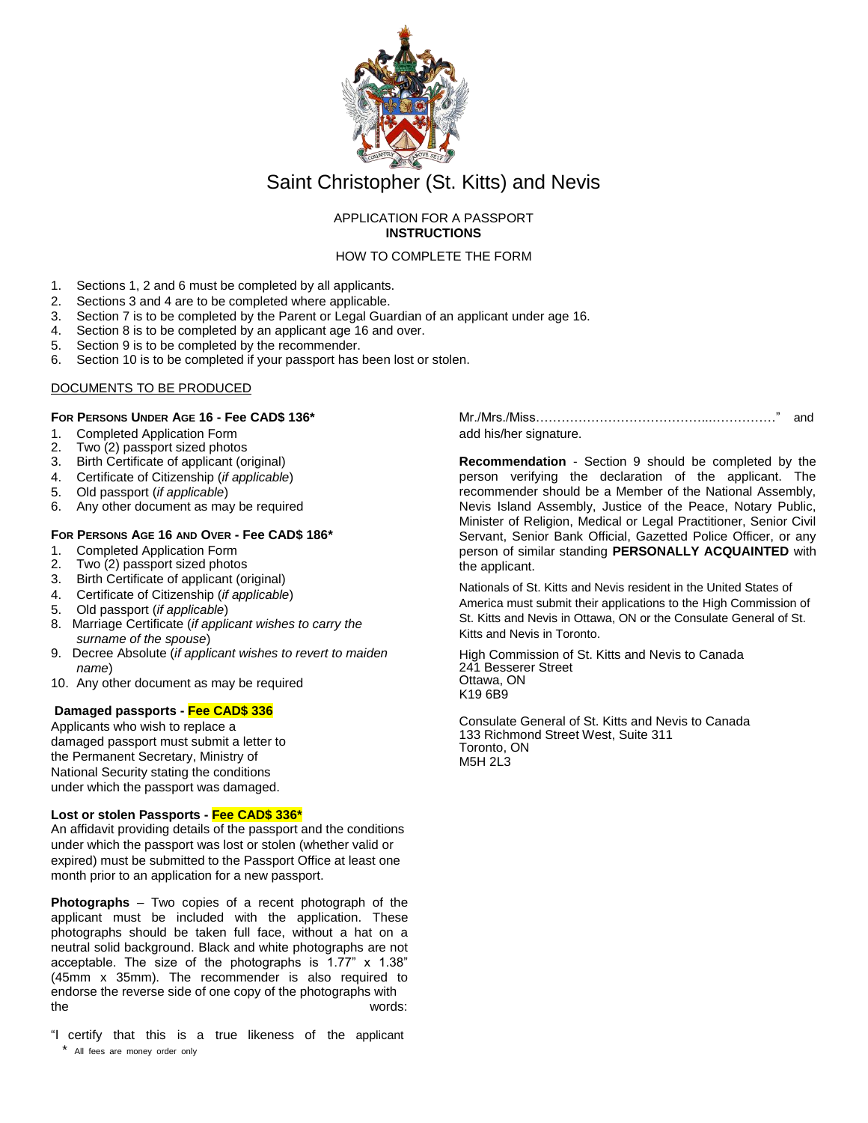

# Saint Christopher (St. Kitts) and Nevis

### APPLICATION FOR A PASSPORT **INSTRUCTIONS**

HOW TO COMPLETE THE FORM

- 1. Sections 1, 2 and 6 must be completed by all applicants.
- 2. Sections 3 and 4 are to be completed where applicable.
- 3. Section 7 is to be completed by the Parent or Legal Guardian of an applicant under age 16.
- 4. Section 8 is to be completed by an applicant age 16 and over.
- 5. Section 9 is to be completed by the recommender.
- 6. Section 10 is to be completed if your passport has been lost or stolen.

#### DOCUMENTS TO BE PRODUCED

#### **FOR PERSONS UNDER AGE 16 - Fee CAD\$ 136\***

- 1. Completed Application Form<br>2. Two (2) passport sized photo
- Two (2) passport sized photos
- 3. Birth Certificate of applicant (original)
- 4. Certificate of Citizenship (*if applicable*)
- 5. Old passport (*if applicable*)
- 6. Any other document as may be required

## **FOR PERSONS AGE 16 AND OVER - Fee CAD\$ 186\***

- 1. Completed Application Form
- 2. Two (2) passport sized photos
- 3. Birth Certificate of applicant (original)
- 4. Certificate of Citizenship (*if applicable*)
- 5. Old passport (*if applicable*)
- 8. Marriage Certificate (*if applicant wishes to carry the surname of the spouse*)
- 9. Decree Absolute (*if applicant wishes to revert to maiden name*)
- 10. Any other document as may be required

## **Damaged passports - Fee CAD\$ 336**

Applicants who wish to replace a damaged passport must submit a letter to the Permanent Secretary, Ministry of National Security stating the conditions under which the passport was damaged.

#### **Lost or stolen Passports - Fee CAD\$ 336\***

An affidavit providing details of the passport and the conditions under which the passport was lost or stolen (whether valid or expired) must be submitted to the Passport Office at least one month prior to an application for a new passport.

**Photographs** – Two copies of a recent photograph of the applicant must be included with the application. These photographs should be taken full face, without a hat on a neutral solid background. Black and white photographs are not acceptable. The size of the photographs is 1.77" x 1.38" (45mm x 35mm). The recommender is also required to endorse the reverse side of one copy of the photographs with the words:

"I certify that this is a true likeness of the applicant \* All fees are money order only

Mr./Mrs./Miss…………………………………...……………" and add his/her signature.

**Recommendation** - Section 9 should be completed by the person verifying the declaration of the applicant. The recommender should be a Member of the National Assembly, Nevis Island Assembly, Justice of the Peace, Notary Public, Minister of Religion, Medical or Legal Practitioner, Senior Civil Servant, Senior Bank Official, Gazetted Police Officer, or any person of similar standing **PERSONALLY ACQUAINTED** with the applicant.

Nationals of St. Kitts and Nevis resident in the United States of America must submit their applications to the High Commission of St. Kitts and Nevis in Ottawa, ON or the Consulate General of St. Kitts and Nevis in Toronto.

High Commission of St. Kitts and Nevis to Canada 241 Besserer Street Ottawa, ON K19 6B9

Consulate General of St. Kitts and Nevis to Canada 133 Richmond Street West, Suite 311 Toronto, ON M5H 2L3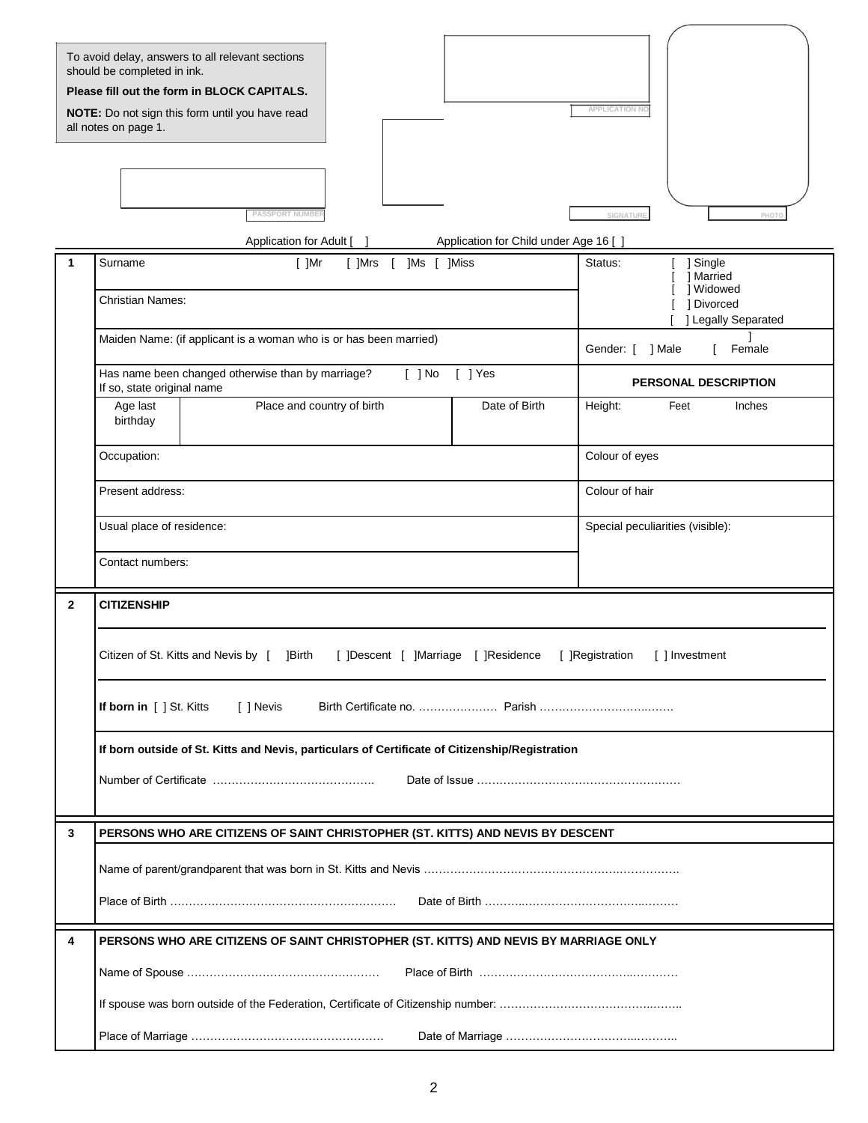| To avoid delay, answers to all relevant sections<br>should be completed in ink.<br>Please fill out the form in BLOCK CAPITALS.<br><b>APPLICATION NO</b><br>NOTE: Do not sign this form until you have read<br>all notes on page 1.<br><b>PASSPORT NUMBER</b><br>SIGNATURE<br>PHO |                                                                                                                                                       |                                                                                    |  |  |  |  |  |  |  |  |
|----------------------------------------------------------------------------------------------------------------------------------------------------------------------------------------------------------------------------------------------------------------------------------|-------------------------------------------------------------------------------------------------------------------------------------------------------|------------------------------------------------------------------------------------|--|--|--|--|--|--|--|--|
|                                                                                                                                                                                                                                                                                  | Application for Child under Age 16 [<br>Application for Adult [                                                                                       |                                                                                    |  |  |  |  |  |  |  |  |
| 1                                                                                                                                                                                                                                                                                | Surname<br>$[$ ]Mr<br>[ ]Mrs<br>]Ms [ ]Miss<br>$\Box$<br>Christian Names:                                                                             | Status:<br>] Single<br>] Married<br>] Widowed<br>1 Divorced<br>] Legally Separated |  |  |  |  |  |  |  |  |
|                                                                                                                                                                                                                                                                                  | Maiden Name: (if applicant is a woman who is or has been married)                                                                                     | Gender: [<br>] Male<br>Female                                                      |  |  |  |  |  |  |  |  |
|                                                                                                                                                                                                                                                                                  | Has name been changed otherwise than by marriage?<br>[ ] Yes<br>$[$ ] No<br>If so, state original name                                                | PERSONAL DESCRIPTION                                                               |  |  |  |  |  |  |  |  |
|                                                                                                                                                                                                                                                                                  | Place and country of birth<br>Date of Birth<br>Age last<br>birthday                                                                                   | Height:<br>Feet<br>Inches                                                          |  |  |  |  |  |  |  |  |
|                                                                                                                                                                                                                                                                                  | Occupation:                                                                                                                                           | Colour of eyes                                                                     |  |  |  |  |  |  |  |  |
|                                                                                                                                                                                                                                                                                  | Present address:                                                                                                                                      | Colour of hair                                                                     |  |  |  |  |  |  |  |  |
|                                                                                                                                                                                                                                                                                  | Usual place of residence:                                                                                                                             | Special peculiarities (visible):                                                   |  |  |  |  |  |  |  |  |
|                                                                                                                                                                                                                                                                                  | Contact numbers:                                                                                                                                      |                                                                                    |  |  |  |  |  |  |  |  |
| $\mathbf{2}$                                                                                                                                                                                                                                                                     | <b>CITIZENSHIP</b><br>Citizen of St. Kitts and Nevis by [<br>[ ]Descent [ ]Marriage [ ]Residence<br>[ ]Registration<br>[ ] Investment<br><b>Birth</b> |                                                                                    |  |  |  |  |  |  |  |  |
|                                                                                                                                                                                                                                                                                  |                                                                                                                                                       |                                                                                    |  |  |  |  |  |  |  |  |
|                                                                                                                                                                                                                                                                                  | If born in [ ] St. Kitts<br>[ ] Nevis                                                                                                                 |                                                                                    |  |  |  |  |  |  |  |  |
|                                                                                                                                                                                                                                                                                  | If born outside of St. Kitts and Nevis, particulars of Certificate of Citizenship/Registration                                                        |                                                                                    |  |  |  |  |  |  |  |  |
|                                                                                                                                                                                                                                                                                  |                                                                                                                                                       |                                                                                    |  |  |  |  |  |  |  |  |
| 3                                                                                                                                                                                                                                                                                | PERSONS WHO ARE CITIZENS OF SAINT CHRISTOPHER (ST. KITTS) AND NEVIS BY DESCENT                                                                        |                                                                                    |  |  |  |  |  |  |  |  |
|                                                                                                                                                                                                                                                                                  |                                                                                                                                                       |                                                                                    |  |  |  |  |  |  |  |  |
|                                                                                                                                                                                                                                                                                  |                                                                                                                                                       |                                                                                    |  |  |  |  |  |  |  |  |
| 4                                                                                                                                                                                                                                                                                | PERSONS WHO ARE CITIZENS OF SAINT CHRISTOPHER (ST. KITTS) AND NEVIS BY MARRIAGE ONLY                                                                  |                                                                                    |  |  |  |  |  |  |  |  |
|                                                                                                                                                                                                                                                                                  |                                                                                                                                                       |                                                                                    |  |  |  |  |  |  |  |  |
|                                                                                                                                                                                                                                                                                  |                                                                                                                                                       |                                                                                    |  |  |  |  |  |  |  |  |
|                                                                                                                                                                                                                                                                                  |                                                                                                                                                       |                                                                                    |  |  |  |  |  |  |  |  |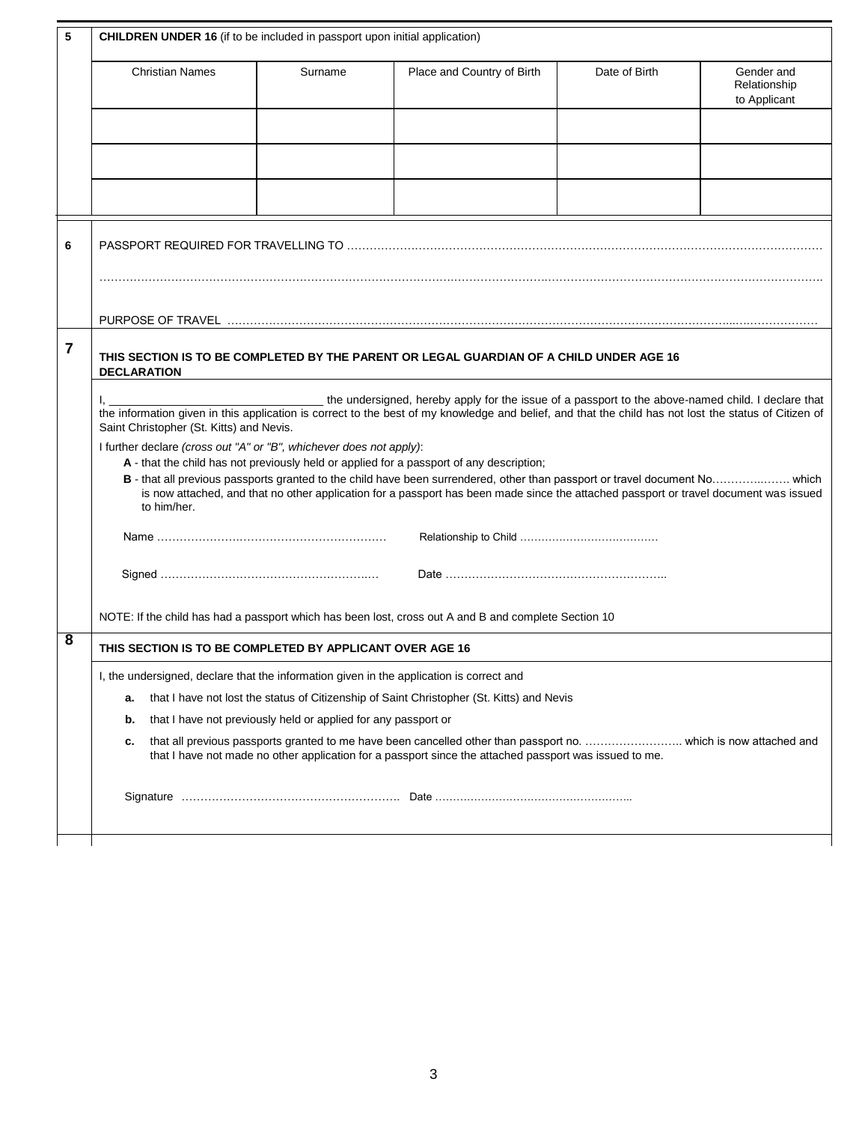| 5 | <b>CHILDREN UNDER 16</b> (if to be included in passport upon initial application)                                                                                                                                                                                                                                                                                                                                                                                                                                                                                                                                                  |         |                            |               |                                            |  |  |  |
|---|------------------------------------------------------------------------------------------------------------------------------------------------------------------------------------------------------------------------------------------------------------------------------------------------------------------------------------------------------------------------------------------------------------------------------------------------------------------------------------------------------------------------------------------------------------------------------------------------------------------------------------|---------|----------------------------|---------------|--------------------------------------------|--|--|--|
|   | <b>Christian Names</b>                                                                                                                                                                                                                                                                                                                                                                                                                                                                                                                                                                                                             | Surname | Place and Country of Birth | Date of Birth | Gender and<br>Relationship<br>to Applicant |  |  |  |
|   |                                                                                                                                                                                                                                                                                                                                                                                                                                                                                                                                                                                                                                    |         |                            |               |                                            |  |  |  |
|   |                                                                                                                                                                                                                                                                                                                                                                                                                                                                                                                                                                                                                                    |         |                            |               |                                            |  |  |  |
|   |                                                                                                                                                                                                                                                                                                                                                                                                                                                                                                                                                                                                                                    |         |                            |               |                                            |  |  |  |
| 6 |                                                                                                                                                                                                                                                                                                                                                                                                                                                                                                                                                                                                                                    |         |                            |               |                                            |  |  |  |
|   |                                                                                                                                                                                                                                                                                                                                                                                                                                                                                                                                                                                                                                    |         |                            |               |                                            |  |  |  |
| 7 | THIS SECTION IS TO BE COMPLETED BY THE PARENT OR LEGAL GUARDIAN OF A CHILD UNDER AGE 16<br><b>DECLARATION</b>                                                                                                                                                                                                                                                                                                                                                                                                                                                                                                                      |         |                            |               |                                            |  |  |  |
|   | the undersigned, hereby apply for the issue of a passport to the above-named child. I declare that<br>the information given in this application is correct to the best of my knowledge and belief, and that the child has not lost the status of Citizen of<br>Saint Christopher (St. Kitts) and Nevis.<br>I further declare (cross out "A" or "B", whichever does not apply):<br>A - that the child has not previously held or applied for a passport of any description;<br>is now attached, and that no other application for a passport has been made since the attached passport or travel document was issued<br>to him/her. |         |                            |               |                                            |  |  |  |
|   |                                                                                                                                                                                                                                                                                                                                                                                                                                                                                                                                                                                                                                    |         |                            |               |                                            |  |  |  |
|   |                                                                                                                                                                                                                                                                                                                                                                                                                                                                                                                                                                                                                                    |         |                            |               |                                            |  |  |  |
| 8 | NOTE: If the child has had a passport which has been lost, cross out A and B and complete Section 10                                                                                                                                                                                                                                                                                                                                                                                                                                                                                                                               |         |                            |               |                                            |  |  |  |
|   | THIS SECTION IS TO BE COMPLETED BY APPLICANT OVER AGE 16                                                                                                                                                                                                                                                                                                                                                                                                                                                                                                                                                                           |         |                            |               |                                            |  |  |  |
|   | I, the undersigned, declare that the information given in the application is correct and                                                                                                                                                                                                                                                                                                                                                                                                                                                                                                                                           |         |                            |               |                                            |  |  |  |
|   | that I have not lost the status of Citizenship of Saint Christopher (St. Kitts) and Nevis<br>а.                                                                                                                                                                                                                                                                                                                                                                                                                                                                                                                                    |         |                            |               |                                            |  |  |  |
|   | that I have not previously held or applied for any passport or<br>b.<br>that all previous passports granted to me have been cancelled other than passport no.  which is now attached and<br>с.<br>that I have not made no other application for a passport since the attached passport was issued to me.                                                                                                                                                                                                                                                                                                                           |         |                            |               |                                            |  |  |  |
|   |                                                                                                                                                                                                                                                                                                                                                                                                                                                                                                                                                                                                                                    |         |                            |               |                                            |  |  |  |
|   |                                                                                                                                                                                                                                                                                                                                                                                                                                                                                                                                                                                                                                    |         |                            |               |                                            |  |  |  |